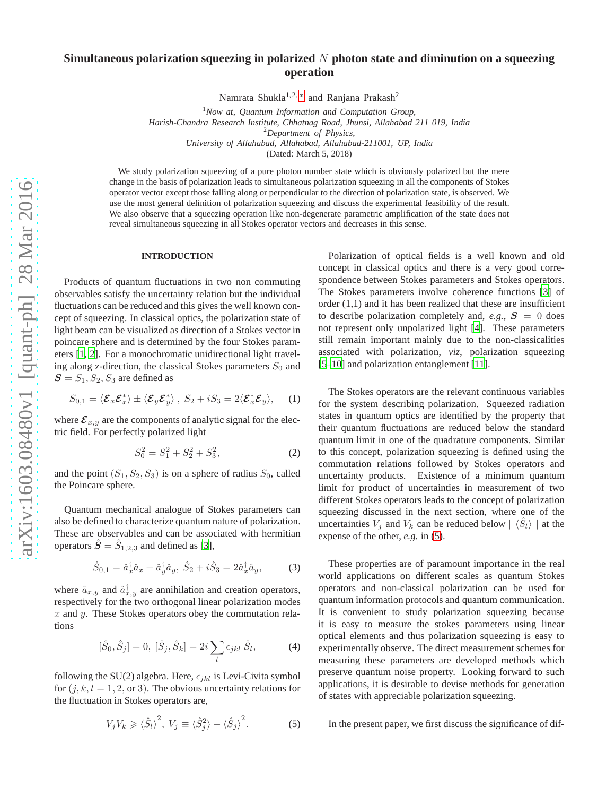# **Simultaneous polarization squeezing in polarized** N **photon state and diminution on a squeezing operation**

Namrata Shukla<sup>1,2,\*</sup> and Ranjana Prakash<sup>2</sup>

<sup>1</sup>*Now at, Quantum Information and Computation Group, Harish-Chandra Research Institute, Chhatnag Road, Jhunsi, Allahabad 211 019, India* <sup>2</sup>*Department of Physics, University of Allahabad, Allahabad, Allahabad-211001, UP, India*

(Dated: March 5, 2018)

We study polarization squeezing of a pure photon number state which is obviously polarized but the mere change in the basis of polarization leads to simultaneous polarization squeezing in all the components of Stokes operator vector except those falling along or perpendicular to the direction of polarization state, is observed. We use the most general definition of polarization squeezing and discuss the experimental feasibility of the result. We also observe that a squeezing operation like non-degenerate parametric amplification of the state does not reveal simultaneous squeezing in all Stokes operator vectors and decreases in this sense.

### **INTRODUCTION**

Products of quantum fluctuations in two non commuting observables satisfy the uncertainty relation but the individual fluctuations can be reduced and this gives the well known concept of squeezing. In classical optics, the polarization state of light beam can be visualized as direction of a Stokes vector in poincare sphere and is determined by the four Stokes parameters [\[1,](#page-4-1) [2](#page-4-2)]. For a monochromatic unidirectional light traveling along z-direction, the classical Stokes parameters  $S_0$  and  $S = S_1, S_2, S_3$  are defined as

$$
S_{0,1} = \langle \mathcal{E}_x \mathcal{E}_x^* \rangle \pm \langle \mathcal{E}_y \mathcal{E}_y^* \rangle , S_2 + iS_3 = 2 \langle \mathcal{E}_x^* \mathcal{E}_y \rangle, \quad (1)
$$

where  $\mathcal{E}_{x,y}$  are the components of analytic signal for the electric field. For perfectly polarized light

$$
S_0^2 = S_1^2 + S_2^2 + S_3^2,\tag{2}
$$

and the point  $(S_1, S_2, S_3)$  is on a sphere of radius  $S_0$ , called the Poincare sphere.

Quantum mechanical analogue of Stokes parameters can also be defined to characterize quantum nature of polarization. These are observables and can be associated with hermitian operators  $\hat{S} = \hat{S}_{1,2,3}$  and defined as [\[3\]](#page-4-3),

<span id="page-0-1"></span>
$$
\hat{S}_{0,1} = \hat{a}_x^{\dagger} \hat{a}_x \pm \hat{a}_y^{\dagger} \hat{a}_y, \ \hat{S}_2 + i \hat{S}_3 = 2 \hat{a}_x^{\dagger} \hat{a}_y, \tag{3}
$$

where  $\hat{a}_{x,y}$  and  $\hat{a}_{x,y}^{\dagger}$  are annihilation and creation operators, respectively for the two orthogonal linear polarization modes  $x$  and  $y$ . These Stokes operators obey the commutation relations

$$
[\hat{S}_0, \hat{S}_j] = 0, [\hat{S}_j, \hat{S}_k] = 2i \sum_l \epsilon_{jkl} \hat{S}_l,
$$
 (4)

following the SU(2) algebra. Here,  $\epsilon_{jkl}$  is Levi-Civita symbol for  $(j, k, l = 1, 2, \text{or } 3)$ . The obvious uncertainty relations for the fluctuation in Stokes operators are,

<span id="page-0-0"></span>
$$
V_j V_k \geqslant \langle \hat{S}_l \rangle^2, \ V_j \equiv \langle \hat{S}_j^2 \rangle - \langle \hat{S}_j \rangle^2. \tag{5}
$$

Polarization of optical fields is a well known and old concept in classical optics and there is a very good correspondence between Stokes parameters and Stokes operators. The Stokes parameters involve coherence functions [\[3\]](#page-4-3) of order (1,1) and it has been realized that these are insufficient to describe polarization completely and,  $e.g., S = 0$  does not represent only unpolarized light [\[4](#page-4-4)]. These parameters still remain important mainly due to the non-classicalities associated with polarization, *viz*, polarization squeezing [5–10] and polarization entanglement [\[11\]](#page-4-5).

The Stokes operators are the relevant continuous variables for the system describing polarization. Squeezed radiation states in quantum optics are identified by the property that their quantum fluctuations are reduced below the standard quantum limit in one of the quadrature components. Similar to this concept, polarization squeezing is defined using the commutation relations followed by Stokes operators and uncertainty products. Existence of a minimum quantum limit for product of uncertainties in measurement of two different Stokes operators leads to the concept of polarization squeezing discussed in the next section, where one of the uncertainties  $V_j$  and  $V_k$  can be reduced below  $|\langle \hat{S}_l \rangle|$  at the expense of the other, *e.g.* in [\(5\)](#page-0-0).

These properties are of paramount importance in the real world applications on different scales as quantum Stokes operators and non-classical polarization can be used for quantum information protocols and quantum communication. It is convenient to study polarization squeezing because it is easy to measure the stokes parameters using linear optical elements and thus polarization squeezing is easy to experimentally observe. The direct measurement schemes for measuring these parameters are developed methods which preserve quantum noise property. Looking forward to such applications, it is desirable to devise methods for generation of states with appreciable polarization squeezing.

In the present paper, we first discuss the significance of dif-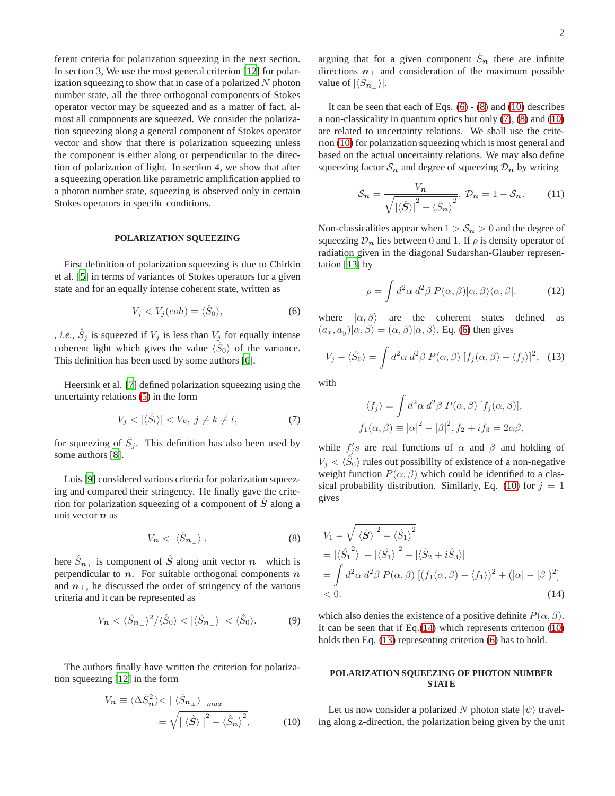ferent criteria for polarization squeezing in the next section. In section 3, We use the most general criterion [\[12\]](#page-4-6) for polarization squeezing to show that in case of a polarized  $N$  photon number state, all the three orthogonal components of Stokes operator vector may be squeezed and as a matter of fact, almost all components are squeezed. We consider the polarization squeezing along a general component of Stokes operator vector and show that there is polarization squeezing unless the component is either along or perpendicular to the direction of polarization of light. In section 4, we show that after a squeezing operation like parametric amplification applied to a photon number state, squeezing is observed only in certain Stokes operators in specific conditions.

#### **POLARIZATION SQUEEZING**

First definition of polarization squeezing is due to Chirkin et al. [5] in terms of variances of Stokes operators for a given state and for an equally intense coherent state, written as

<span id="page-1-0"></span>
$$
V_j < V_j(coh) = \langle \hat{S}_0 \rangle,\tag{6}
$$

, *i.e.*,  $\hat{S}_j$  is squeezed if  $V_j$  is less than  $V_j$  for equally intense coherent light which gives the value  $\langle \hat{S}_0 \rangle$  of the variance. This definition has been used by some authors [6].

Heersink et al. [7] defined polarization squeezing using the uncertainty relations [\(5\)](#page-0-0) in the form

<span id="page-1-3"></span>
$$
V_j < |\langle \hat{S}_l \rangle| < V_k, \ j \neq k \neq l,\tag{7}
$$

for squeezing of  $\hat{S}_j$ . This definition has also been used by some authors [8].

Luis [9] considered various criteria for polarization squeezing and compared their stringency. He finally gave the criterion for polarization squeezing of a component of  $\hat{S}$  along a unit vector  $n$  as

<span id="page-1-1"></span>
$$
V_{\mathbf{n}} < |\langle \hat{S}_{\mathbf{n}_{\perp}} \rangle|,\tag{8}
$$

here  $\hat{S}_{n\perp}$  is component of  $\hat{S}$  along unit vector  $n_{\perp}$  which is perpendicular to  $n$ . For suitable orthogonal components  $n$ and  $n_{\perp}$ , he discussed the order of stringency of the various criteria and it can be represented as

$$
V_{n} \langle \hat{S}_{n_{\perp}} \rangle^{2} / \langle \hat{S}_{0} \rangle \langle \langle \hat{S}_{n_{\perp}} \rangle | \langle \hat{S}_{0} \rangle. \tag{9}
$$

The authors finally have written the criterion for polarization squeezing [\[12\]](#page-4-6) in the form

<span id="page-1-2"></span>
$$
V_n \equiv \langle \Delta \hat{S}_n^2 \rangle < | \langle \hat{S}_{n_\perp} \rangle |_{max} = \sqrt{|\langle \hat{S} \rangle|^2 - \langle \hat{S}_n \rangle^2}, \tag{10}
$$

arguing that for a given component  $\hat{S}_n$  there are infinite directions  $n_{\perp}$  and consideration of the maximum possible value of  $|\langle S_{n_+} \rangle|$ .

It can be seen that each of Eqs.  $(6) - (8)$  $(6) - (8)$  and  $(10)$  describes a non-classicality in quantum optics but only [\(7\)](#page-1-3), [\(8\)](#page-1-1) and [\(10\)](#page-1-2) are related to uncertainty relations. We shall use the criterion [\(10\)](#page-1-2) for polarization squeezing which is most general and based on the actual uncertainty relations. We may also define squeezing factor  $S_n$  and degree of squeezing  $\mathcal{D}_n$  by writing

<span id="page-1-6"></span>
$$
S_n = \frac{V_n}{\sqrt{\left|\langle \hat{S} \rangle\right|^2 - \langle \hat{S}_n \rangle^2}}, \mathcal{D}_n = 1 - S_n. \tag{11}
$$

Non-classicalities appear when  $1 > S_n > 0$  and the degree of squeezing  $\mathcal{D}_n$  lies between 0 and 1. If  $\rho$  is density operator of radiation given in the diagonal Sudarshan-Glauber representation [\[13\]](#page-4-7) by

$$
\rho = \int d^2\alpha \, d^2\beta \, P(\alpha, \beta) |\alpha, \beta\rangle \langle \alpha, \beta|.
$$
 (12)

where  $|\alpha, \beta\rangle$  are the coherent states defined as  $(a_x, a_y) | \alpha, \beta \rangle = (\alpha, \beta) | \alpha, \beta \rangle$ . Eq. [\(6\)](#page-1-0) then gives

<span id="page-1-5"></span>
$$
V_j - \langle \hat{S}_0 \rangle = \int d^2 \alpha \, d^2 \beta \, P(\alpha, \beta) \, [f_j(\alpha, \beta) - \langle f_j \rangle]^2, \tag{13}
$$

with

$$
\langle f_j \rangle = \int d^2 \alpha \, d^2 \beta \, P(\alpha, \beta) \, [f_j(\alpha, \beta)],
$$
  

$$
f_1(\alpha, \beta) \equiv |\alpha|^2 - |\beta|^2, f_2 + if_3 = 2\alpha\beta,
$$

while  $f'_j s$  are real functions of  $\alpha$  and  $\beta$  and holding of  $V_j < \langle \hat{S}_0 \rangle$  rules out possibility of existence of a non-negative weight function  $P(\alpha, \beta)$  which could be identified to a clas-sical probability distribution. Similarly, Eq. [\(10\)](#page-1-2) for  $j = 1$ gives

<span id="page-1-4"></span>
$$
V_1 - \sqrt{|\langle \hat{S} \rangle|^2 - \langle \hat{S}_1 \rangle^2}
$$
  
=  $|\langle \hat{S}_1^2 \rangle| - |\langle \hat{S}_1 \rangle|^2 - |\langle \hat{S}_2 + i \hat{S}_3 \rangle|$   
=  $\int d^2 \alpha \, d^2 \beta \, P(\alpha, \beta) \left[ (f_1(\alpha, \beta) - \langle f_1 \rangle)^2 + (|\alpha| - |\beta|)^2 \right]$   
< 0. (14)

which also denies the existence of a positive definite  $P(\alpha, \beta)$ . It can be seen that if Eq. $(14)$  which represents criterion  $(10)$ holds then Eq. [\(13\)](#page-1-5) representing criterion [\(6\)](#page-1-0) has to hold.

## **POLARIZATION SQUEEZING OF PHOTON NUMBER STATE**

Let us now consider a polarized N photon state  $|\psi\rangle$  traveling along z-direction, the polarization being given by the unit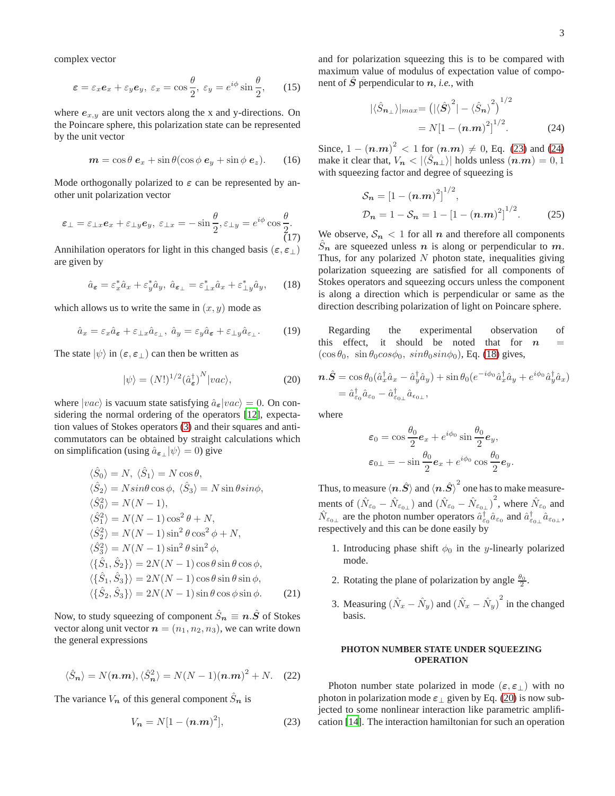complex vector

<span id="page-2-5"></span>
$$
\varepsilon = \varepsilon_x \mathbf{e}_x + \varepsilon_y \mathbf{e}_y, \ \varepsilon_x = \cos\frac{\theta}{2}, \ \varepsilon_y = e^{i\phi} \sin\frac{\theta}{2}, \qquad (15)
$$

where  $e_{x,y}$  are unit vectors along the x and y-directions. On the Poincare sphere, this polarization state can be represented by the unit vector

$$
\mathbf{m} = \cos \theta \, \mathbf{e}_x + \sin \theta (\cos \phi \, \mathbf{e}_y + \sin \phi \, \mathbf{e}_z). \qquad (16)
$$

Mode orthogonally polarized to  $\varepsilon$  can be represented by another unit polarization vector

<span id="page-2-6"></span>
$$
\varepsilon_{\perp} = \varepsilon_{\perp x} \mathbf{e}_x + \varepsilon_{\perp y} \mathbf{e}_y, \ \varepsilon_{\perp x} = -\sin\frac{\theta}{2}, \varepsilon_{\perp y} = e^{i\phi}\cos\frac{\theta}{2}.
$$
\n(17)

Annihilation operators for light in this changed basis  $(\epsilon, \epsilon)$ are given by

<span id="page-2-2"></span>
$$
\hat{a}_{\varepsilon} = \varepsilon_x^* \hat{a}_x + \varepsilon_y^* \hat{a}_y, \ \hat{a}_{\varepsilon_{\perp}} = \varepsilon_{\perp x}^* \hat{a}_x + \varepsilon_{\perp y}^* \hat{a}_y,\tag{18}
$$

which allows us to write the same in  $(x, y)$  mode as

<span id="page-2-4"></span>
$$
\hat{a}_x = \varepsilon_x \hat{a}_\varepsilon + \varepsilon_{\perp x} \hat{a}_{\varepsilon_{\perp}}, \ \hat{a}_y = \varepsilon_y \hat{a}_\varepsilon + \varepsilon_{\perp y} \hat{a}_{\varepsilon_{\perp}}.\tag{19}
$$

The state  $|\psi\rangle$  in  $(\epsilon, \epsilon_{\perp})$  can then be written as

<span id="page-2-3"></span>
$$
|\psi\rangle = (N!)^{1/2} (\hat{a}_{\varepsilon}^{\dagger})^N |vac\rangle, \tag{20}
$$

where  $|vac\rangle$  is vacuum state satisfying  $\hat{a}_{\epsilon}|vac\rangle = 0$ . On considering the normal ordering of the operators [\[12\]](#page-4-6), expectation values of Stokes operators [\(3\)](#page-0-1) and their squares and anticommutators can be obtained by straight calculations which on simplification (using  $\hat{a}_{\epsilon_{\perp}}|\psi\rangle = 0$ ) give

$$
\langle \hat{S}_0 \rangle = N, \langle \hat{S}_1 \rangle = N \cos \theta,
$$
  
\n
$$
\langle \hat{S}_2 \rangle = N \sin \theta \cos \phi, \langle \hat{S}_3 \rangle = N \sin \theta \sin \phi,
$$
  
\n
$$
\langle \hat{S}_0^2 \rangle = N(N-1),
$$
  
\n
$$
\langle \hat{S}_1^2 \rangle = N(N-1) \cos^2 \theta + N,
$$
  
\n
$$
\langle \hat{S}_2^2 \rangle = N(N-1) \sin^2 \theta \cos^2 \phi + N,
$$
  
\n
$$
\langle \hat{S}_3^2 \rangle = N(N-1) \sin^2 \theta \sin^2 \phi,
$$
  
\n
$$
\langle \{\hat{S}_1, \hat{S}_2\} \rangle = 2N(N-1) \cos \theta \sin \theta \cos \phi,
$$
  
\n
$$
\langle \{\hat{S}_1, \hat{S}_3\} \rangle = 2N(N-1) \cos \theta \sin \theta \sin \phi,
$$
  
\n
$$
\langle \{\hat{S}_2, \hat{S}_3\} \rangle = 2N(N-1) \sin \theta \cos \phi \sin \phi.
$$
  
\n(21)

Now, to study squeezing of component  $\hat{S}_n \equiv n \cdot \hat{S}$  of Stokes vector along unit vector  $n = (n_1, n_2, n_3)$ , we can write down the general expressions

$$
\langle \hat{S}_n \rangle = N(n.m), \langle \hat{S}_n^2 \rangle = N(N-1)(n.m)^2 + N. \quad (22)
$$

The variance  $V_n$  of this general component  $\hat{S}_n$  is

<span id="page-2-0"></span>
$$
V_n = N[1 - (n.m)^2],
$$
 (23)

and for polarization squeezing this is to be compared with maximum value of modulus of expectation value of component of  $S$  perpendicular to  $n$ , *i.e.*, with

<span id="page-2-1"></span>
$$
|\langle \hat{S}_{n_{\perp}} \rangle|_{max} = (|\langle \hat{S} \rangle^{2}| - \langle \hat{S}_{n} \rangle^{2})^{1/2}
$$
  
=  $N[1 - (n.m)^{2}]^{1/2}$ . (24)

Since,  $1 - (n.m)^2 < 1$  for  $(n.m) \neq 0$ , Eq. [\(23\)](#page-2-0) and [\(24\)](#page-2-1) make it clear that,  $V_n < |\langle \hat{S}_{n\perp} \rangle|$  holds unless  $(n.m) = 0, 1$ with squeezing factor and degree of squeezing is

$$
S_n = [1 - (n.m)^2]^{1/2},
$$
  
\n
$$
D_n = 1 - S_n = 1 - [1 - (n.m)^2]^{1/2}.
$$
 (25)

We observe,  $S_n < 1$  for all n and therefore all components  $S_n$  are squeezed unless n is along or perpendicular to m. Thus, for any polarized  $N$  photon state, inequalities giving polarization squeezing are satisfied for all components of Stokes operators and squeezing occurs unless the component is along a direction which is perpendicular or same as the direction describing polarization of light on Poincare sphere.

Regarding the experimental observation of this effect, it should be noted that for  $n =$  $(\cos \theta_0, \sin \theta_0 \cos \phi_0, \sin \theta_0 \sin \phi_0)$ , Eq. [\(18\)](#page-2-2) gives,

$$
\begin{split} \boldsymbol{n}.\hat{\boldsymbol{S}}&=\cos\theta_0(\hat{a}_x^\dagger\hat{a}_x-\hat{a}_y^\dagger\hat{a}_y)+\sin\theta_0(e^{-i\phi_0}\hat{a}_x^\dagger\hat{a}_y+e^{i\phi_0}\hat{a}_y^\dagger\hat{a}_x)\\ &=\hat{a}_{\varepsilon_0}^\dagger\hat{a}_{\varepsilon_0}-\hat{a}_{\varepsilon_{0\perp}}^\dagger\hat{a}_{\varepsilon_{0\perp}}, \end{split}
$$

where

$$
\varepsilon_0 = \cos\frac{\theta_0}{2} \mathbf{e}_x + e^{i\phi_0} \sin\frac{\theta_0}{2} \mathbf{e}_y,
$$
  

$$
\varepsilon_{0\perp} = -\sin\frac{\theta_0}{2} \mathbf{e}_x + e^{i\phi_0} \cos\frac{\theta_0}{2} \mathbf{e}_y.
$$

Thus, to measure  $\langle \boldsymbol{n}.\hat{\boldsymbol{S}}\rangle$  and  $\langle \boldsymbol{n}.\hat{\boldsymbol{S}}\rangle^2$  one has to make measurements of  $(\hat{N}_{\epsilon_0} - \hat{N}_{\epsilon_0} )$  and  $(\hat{N}_{\epsilon_0} - \hat{N}_{\epsilon_0} )^2$ , where  $\hat{N}_{\epsilon_0}$  and  $\hat{N}_{\varepsilon_{0\perp}}$  are the photon number operators  $\hat{a}^{\dagger}_{\varepsilon_{0}}\hat{a}_{\varepsilon_{0}}$  and  $\hat{a}^{\dagger}_{\varepsilon_{0\perp}}\hat{a}_{\varepsilon_{0\perp}}$ , respectively and this can be done easily by

- 1. Introducing phase shift  $\phi_0$  in the y-linearly polarized mode.
- 2. Rotating the plane of polarization by angle  $\frac{\theta_0}{2}$ .
- 3. Measuring  $(\hat{N}_x \hat{N}_y)$  and  $(\hat{N}_x \hat{N}_y)^2$  in the changed basis.

### **PHOTON NUMBER STATE UNDER SQUEEZING OPERATION**

Photon number state polarized in mode  $(\epsilon, \epsilon)$  with no photon in polarization mode  $\varepsilon_{\perp}$  given by Eq. [\(20\)](#page-2-3) is now subjected to some nonlinear interaction like parametric amplification [\[14\]](#page-4-8). The interaction hamiltonian for such an operation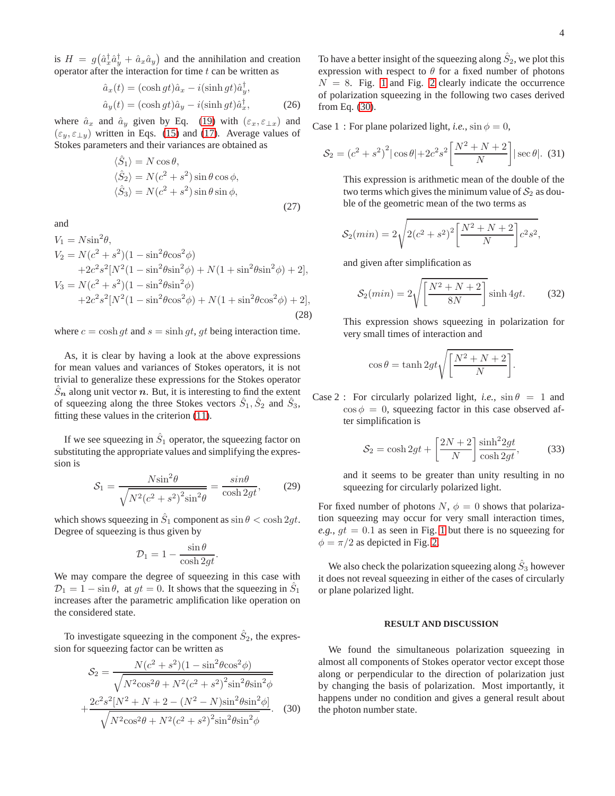is  $H = g(\hat{a}_x^{\dagger} \hat{a}_y^{\dagger} + \hat{a}_x \hat{a}_y)$  and the annihilation and creation operator after the interaction for time  $t$  can be written as

$$
\hat{a}_x(t) = (\cosh gt)\hat{a}_x - i(\sinh gt)\hat{a}_y^{\dagger}, \n\hat{a}_y(t) = (\cosh gt)\hat{a}_y - i(\sinh gt)\hat{a}_x^{\dagger},
$$
\n(26)

where  $\hat{a}_x$  and  $\hat{a}_y$  given by Eq. [\(19\)](#page-2-4) with  $(\varepsilon_x, \varepsilon_{\perp x})$  and  $(\varepsilon_y, \varepsilon_{\perp y})$  written in Eqs. [\(15\)](#page-2-5) and [\(17\)](#page-2-6). Average values of Stokes parameters and their variances are obtained as

$$
\langle \hat{S}_1 \rangle = N \cos \theta,
$$
  
\n
$$
\langle \hat{S}_2 \rangle = N(c^2 + s^2) \sin \theta \cos \phi,
$$
  
\n
$$
\langle \hat{S}_3 \rangle = N(c^2 + s^2) \sin \theta \sin \phi,
$$
\n(27)

and

$$
V_1 = N\sin^2\theta,
$$
  
\n
$$
V_2 = N(c^2 + s^2)(1 - \sin^2\theta\cos^2\phi)
$$
  
\n
$$
+2c^2s^2[N^2(1 - \sin^2\theta\sin^2\phi) + N(1 + \sin^2\theta\sin^2\phi) + 2],
$$
  
\n
$$
V_3 = N(c^2 + s^2)(1 - \sin^2\theta\sin^2\phi)
$$
  
\n
$$
+2c^2s^2[N^2(1 - \sin^2\theta\cos^2\phi) + N(1 + \sin^2\theta\cos^2\phi) + 2],
$$
  
\n(28)

where  $c = \cosh gt$  and  $s = \sinh gt$ , gt being interaction time.

As, it is clear by having a look at the above expressions for mean values and variances of Stokes operators, it is not trivial to generalize these expressions for the Stokes operator  $\hat{S}_n$  along unit vector n. But, it is interesting to find the extent of squeezing along the three Stokes vectors  $\hat{S}_1$ ,  $\hat{S}_2$  and  $\hat{S}_3$ , fitting these values in the criterion [\(11\)](#page-1-6).

If we see squeezing in  $\hat{S}_1$  operator, the squeezing factor on substituting the appropriate values and simplifying the expression is

$$
S_1 = \frac{N \sin^2 \theta}{\sqrt{N^2 (c^2 + s^2)^2 \sin^2 \theta}} = \frac{\sin \theta}{\cosh 2gt},
$$
 (29)

which shows squeezing in  $\hat{S}_1$  component as  $\sin \theta < \cosh 2gt$ . Degree of squeezing is thus given by

$$
\mathcal{D}_1 = 1 - \frac{\sin \theta}{\cosh 2gt}.
$$

We may compare the degree of squeezing in this case with  $\mathcal{D}_1 = 1 - \sin \theta$ , at  $gt = 0$ . It shows that the squeezing in  $\hat{S}_1$ increases after the parametric amplification like operation on the considered state.

To investigate squeezing in the component  $\hat{S}_2$ , the expression for squeezing factor can be written as

<span id="page-3-0"></span>
$$
S_2 = \frac{N(c^2 + s^2)(1 - \sin^2\theta\cos^2\phi)}{\sqrt{N^2\cos^2\theta + N^2(c^2 + s^2)^2\sin^2\theta\sin^2\phi}}
$$

$$
+ \frac{2c^2s^2[N^2 + N + 2 - (N^2 - N)\sin^2\theta\sin^2\phi]}{\sqrt{N^2\cos^2\theta + N^2(c^2 + s^2)^2\sin^2\theta\sin^2\phi}}.
$$
(30)

To have a better insight of the squeezing along  $\hat{S}_2$ , we plot this expression with respect to  $\theta$  for a fixed number of photons  $N = 8$ . Fig. [1](#page-4-9) and Fig. [2](#page-4-10) clearly indicate the occurrence of polarization squeezing in the following two cases derived from Eq. [\(30\)](#page-3-0).

Case 1 : For plane polarized light, *i.e.*,  $\sin \phi = 0$ ,

$$
S_2 = (c^2 + s^2)^2 |\cos \theta| + 2c^2 s^2 \left[ \frac{N^2 + N + 2}{N} \right] |\sec \theta|. \tag{31}
$$

This expression is arithmetic mean of the double of the two terms which gives the minimum value of  $S_2$  as double of the geometric mean of the two terms as

$$
S_2(min) = 2\sqrt{2(c^2 + s^2)^2 \left[\frac{N^2 + N + 2}{N}\right]c^2 s^2},
$$

and given after simplification as

$$
S_2(min) = 2\sqrt{\left[\frac{N^2 + N + 2}{8N}\right]} \sinh 4gt. \tag{32}
$$

This expression shows squeezing in polarization for very small times of interaction and

$$
\cos \theta = \tanh 2gt \sqrt{\left[\frac{N^2 + N + 2}{N}\right]}.
$$

Case 2 : For circularly polarized light, *i.e.*,  $\sin \theta = 1$  and  $\cos \phi = 0$ , squeezing factor in this case observed after simplification is

$$
S_2 = \cosh 2gt + \left[\frac{2N+2}{N}\right] \frac{\sinh^2 2gt}{\cosh 2gt},\tag{33}
$$

and it seems to be greater than unity resulting in no squeezing for circularly polarized light.

For fixed number of photons  $N$ ,  $\phi = 0$  shows that polarization squeezing may occur for very small interaction times, *e.g.*,  $gt = 0.1$  as seen in Fig. [1](#page-4-9) but there is no squeezing for  $\phi = \pi/2$  as depicted in Fig. [2.](#page-4-10)

We also check the polarization squeezing along  $\hat{S}_3$  however it does not reveal squeezing in either of the cases of circularly or plane polarized light.

### **RESULT AND DISCUSSION**

We found the simultaneous polarization squeezing in almost all components of Stokes operator vector except those along or perpendicular to the direction of polarization just by changing the basis of polarization. Most importantly, it happens under no condition and gives a general result about the photon number state.